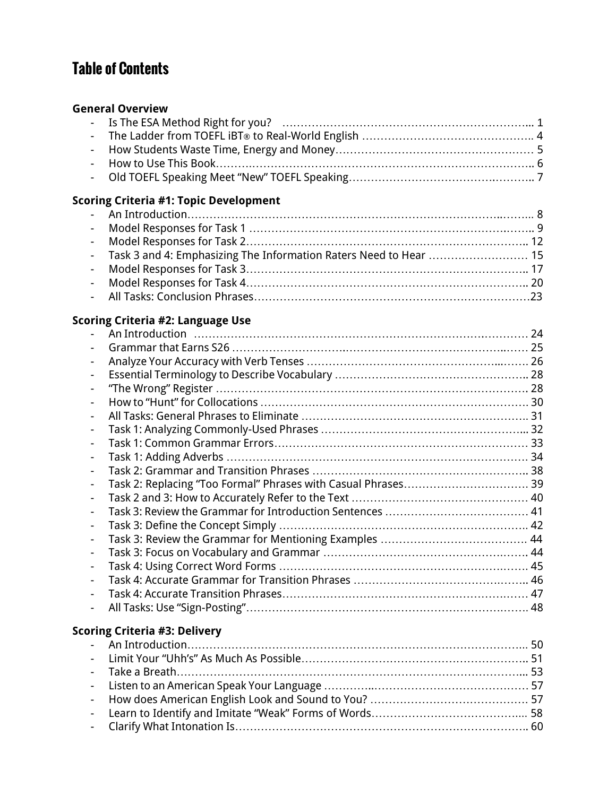# Table of Contents

#### **General Overview**

## **Scoring Criteria #1: Topic Development**

| - Task 3 and 4: Emphasizing The Information Raters Need to Hear  15 |  |
|---------------------------------------------------------------------|--|
|                                                                     |  |
|                                                                     |  |
|                                                                     |  |

#### **Scoring Criteria #2: Language Use**

| $\overline{\phantom{a}}$ |                                      |  |
|--------------------------|--------------------------------------|--|
|                          | <b>Scoring Criteria #3: Delivery</b> |  |
|                          |                                      |  |
|                          |                                      |  |
|                          |                                      |  |
|                          |                                      |  |
|                          |                                      |  |
|                          |                                      |  |

- Clarify What Intonation Is…………………………………………………………………….. 60